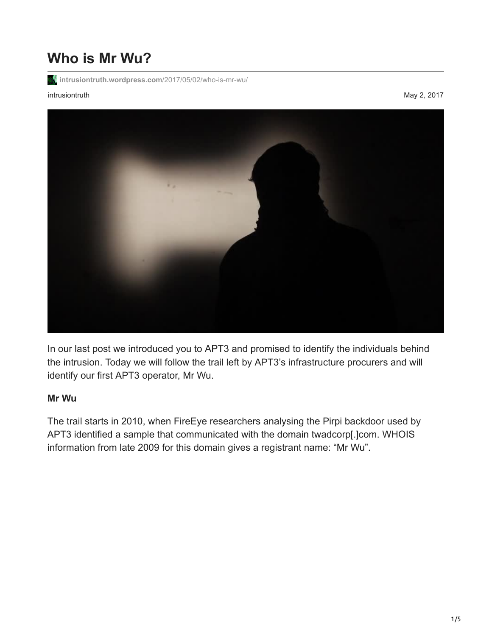# **Who is Mr Wu?**

**[intrusiontruth.wordpress.com](https://intrusiontruth.wordpress.com/2017/05/02/who-is-mr-wu/)**/2017/05/02/who-is-mr-wu/

#### intrusiontruth May 2, 2017



In our last post we introduced you to APT3 and promised to identify the individuals behind the intrusion. Today we will follow the trail left by APT3's infrastructure procurers and will identify our first APT3 operator, Mr Wu.

#### **Mr Wu**

The trail starts in 2010, when FireEye researchers analysing the Pirpi backdoor used by APT3 identified a sample that communicated with the domain twadcorp[.]com. WHOIS information from late 2009 for this domain gives a registrant name: "Mr Wu".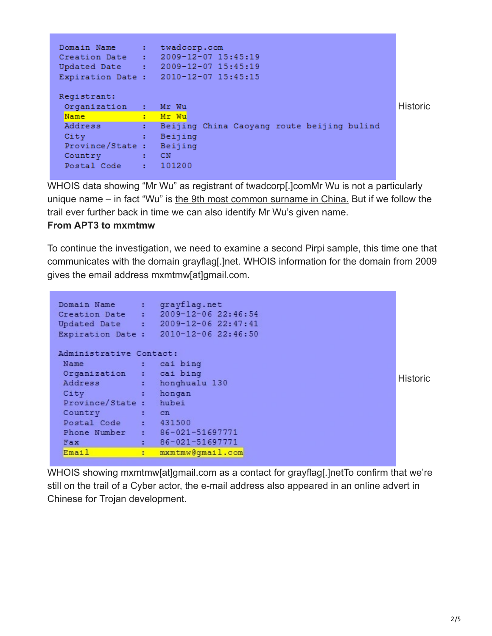```
Domain Name : twadcorp.com
Creation Date : 2009-12-07 15:45:19
Updated Date : 2009-12-07 15:45:19
Expiration Date: 2010-12-07 15:45:15
Registrant:
                                                                                  Historic
 Organization : Mr Wu
 Name : Mr Wu
           Sandaling Seijing China Caoyang route beijing bulind<br>Sandaling Seijing Seijing Seijing Seijing Seijing Seijing Seijing Seijing Seijing Seijing Seijing Seijing Seij
Address
 City
 Province/State : Beijing
 Country : CN<br>Postal Code : 101200
```
WHOIS data showing "Mr Wu" as registrant of twadcorp[.]comMr Wu is not a particularly unique name – in fact "Wu" is [the 9th most common surname in China.](https://en.wikipedia.org/wiki/Chinese_surname) But if we follow the trail ever further back in time we can also identify Mr Wu's given name.

### **From APT3 to mxmtmw**

To continue the investigation, we need to examine a second Pirpi sample, this time one that communicates with the domain grayflag[.]net. WHOIS information for the domain from 2009 gives the email address mxmtmw[at]gmail.com.

|                         | Domain Name           | ÷                        | grayflag.net                   |  |  |  |  |
|-------------------------|-----------------------|--------------------------|--------------------------------|--|--|--|--|
|                         | Creation Date         | <b>Contract Contract</b> | $2009 - 12 - 06$ $22:46:54$    |  |  |  |  |
|                         | Updated Date          | <b>Contract Contract</b> | $2009 - 12 - 0622:47:41$       |  |  |  |  |
|                         | Expiration Date:      |                          | $2010 - 12 - 06$ $22:46:50$    |  |  |  |  |
| Administrative Contact: |                       |                          |                                |  |  |  |  |
|                         | Name                  | ۰.                       | cai bing                       |  |  |  |  |
|                         | Organization :        |                          | cai bing                       |  |  |  |  |
|                         | Address               | a i                      | honghualu 130                  |  |  |  |  |
|                         | City                  |                          | hongan                         |  |  |  |  |
|                         | Province/State: hubei |                          |                                |  |  |  |  |
|                         | Country               | ÷                        | cn                             |  |  |  |  |
|                         | Postal Code           |                          | $\cdot$ 431500                 |  |  |  |  |
|                         |                       |                          | Phone Number : 86-021-51697771 |  |  |  |  |
|                         | Fax                   | t in                     | 86-021-51697771                |  |  |  |  |
|                         | Email                 | ŧ                        | mxmtmw@gmail.com               |  |  |  |  |

**Historic** 

WHOIS showing mxmtmw[at]gmail.com as a contact for grayflag[.]netTo confirm that we're [still on the trail of a Cyber actor, the e-mail address also appeared in an online advert in](http://bbs.tianya.cn/post-it-466928-1.shtml) Chinese for Trojan development.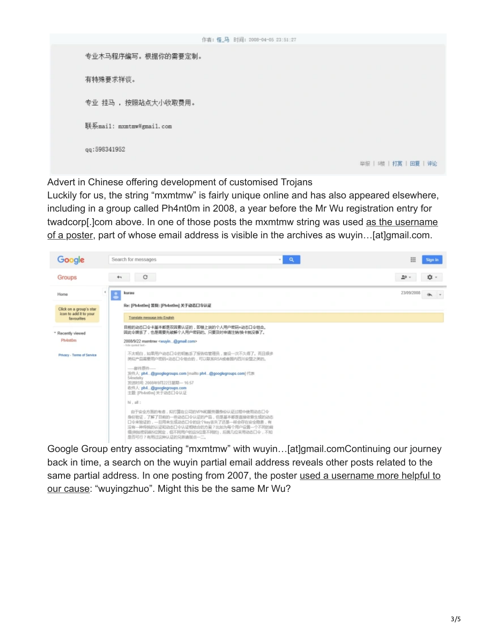|                          | 作者: 怪_马 时间: 2008-04-05 23:51:27 |                        |
|--------------------------|---------------------------------|------------------------|
| 专业木马程序编写。根据你的需要定制。       |                                 |                        |
| 有特殊要求祥谈。                 |                                 |                        |
| 专业 挂马 , 按照站点大小收取费用。      |                                 |                        |
| 联系mail: mxmtmw#gmail.com |                                 |                        |
| qq:598341952             |                                 |                        |
|                          |                                 | 举报   5楼   打赏   回夏   评论 |

Advert in Chinese offering development of customised Trojans

Luckily for us, the string "mxmtmw" is fairly unique online and has also appeared elsewhere, including in a group called Ph4nt0m in 2008, a year before the Mr Wu registration entry for [twadcorp\[.\]com above. In one of those posts the mxmtmw string was used as the username](https://groups.google.com/forum/#!topic/ph4nt0m/UrXQYhOQIDs) of a poster, part of whose email address is visible in the archives as wuyin…[at]gmail.com.



Google Group entry associating "mxmtmw" with wuyin…[at]gmail.comContinuing our journey back in time, a search on the wuyin partial email address reveals other posts related to the [same partial address. In one posting from 2007, the poster used a username more helpful to](https://groups.google.com/forum/#!msg/ph4nt0m/FG_3IIpRblY/gly3NnNUS2MJ) our cause: "wuyingzhuo". Might this be the same Mr Wu?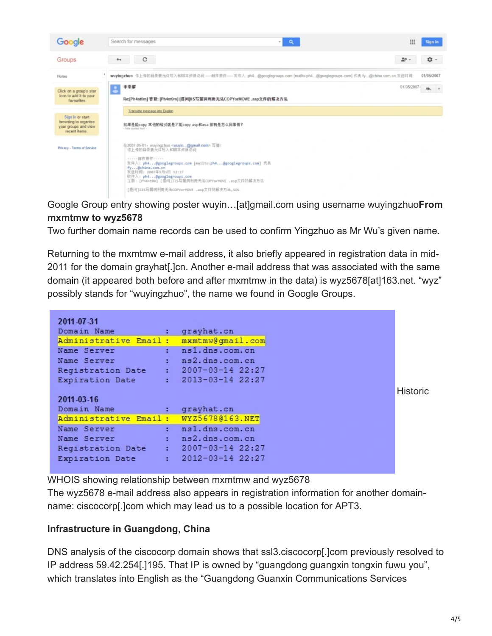

Google Group entry showing poster wuyin…[at]gmail.com using username wuyingzhuo**From mxmtmw to wyz5678**

Two further domain name records can be used to confirm Yingzhuo as Mr Wu's given name.

Returning to the mxmtmw e-mail address, it also briefly appeared in registration data in mid-2011 for the domain grayhat[.]cn. Another e-mail address that was associated with the same domain (it appeared both before and after mxmtmw in the data) is wyz5678[at]163.net. "wyz" possibly stands for "wuyingzhuo", the name we found in Google Groups.

| 2011-07-31                             |                                                                                                                                                                                                                                |
|----------------------------------------|--------------------------------------------------------------------------------------------------------------------------------------------------------------------------------------------------------------------------------|
| Domain Name                            | : grayhat.cn                                                                                                                                                                                                                   |
| Administrative Email: mxmtmw@qmail.com |                                                                                                                                                                                                                                |
| Name Server                            | and the state in and in the state of the state of the state of the state of the state of the state of the state of the state of the state of the state of the state of the state of the state of the state of the state of the |
| Name Server : ns2.dns.com.cn           |                                                                                                                                                                                                                                |
| Registration Date : 2007-03-14 22:27   |                                                                                                                                                                                                                                |
| Expiration Date : 2013-03-14 22:27     |                                                                                                                                                                                                                                |
|                                        |                                                                                                                                                                                                                                |
| 2011-03-16                             |                                                                                                                                                                                                                                |
| Domain Name                            | contract the contract of the contract of the contract of the contract of the contract of the contract of the contract of the contract of the contract of the contract of the contract of the contract of the contract of the c |
| Administrative Email: WYZ5678@163.NET  |                                                                                                                                                                                                                                |
| Name Server                            | : ns1.dns.com.cn                                                                                                                                                                                                               |
| Name Server                            | and the set of the set of the set of the set of the set of the set of the set of the set of the set of the set of the set of the set of the set of the set of the set of the set of the set of the set of the set of the set o |
| Registration Date : 2007-03-14 22:27   |                                                                                                                                                                                                                                |
| Expiration Date                        | $: 2012 - 03 - 1422:27$                                                                                                                                                                                                        |
|                                        |                                                                                                                                                                                                                                |

WHOIS showing relationship between mxmtmw and wyz5678

The wyz5678 e-mail address also appears in registration information for another domainname: ciscocorp[.]com which may lead us to a possible location for APT3.

## **Infrastructure in Guangdong, China**

DNS analysis of the ciscocorp domain shows that ssl3.ciscocorp[.]com previously resolved to IP address 59.42.254[.]195. That IP is owned by "guangdong guangxin tongxin fuwu you", which translates into English as the "Guangdong Guanxin Communications Services